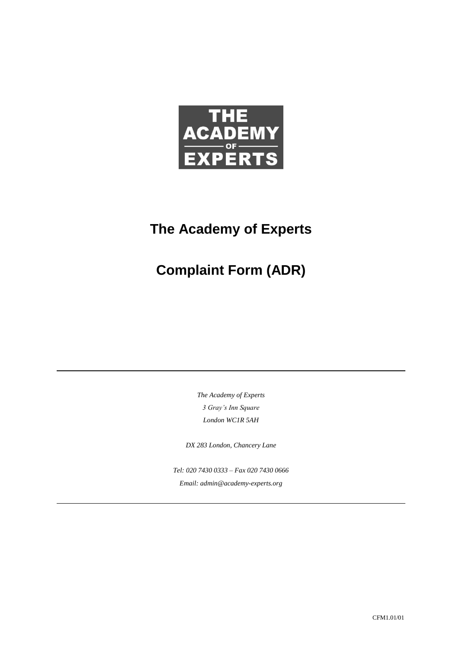

# **The Academy of Experts**

# **Complaint Form (ADR)**

*The Academy of Experts 3 Gray's Inn Square London WC1R 5AH*

*DX 283 London, Chancery Lane*

*Tel: 020 7430 0333 – Fax 020 7430 0666 Email: admin@academy-experts.org*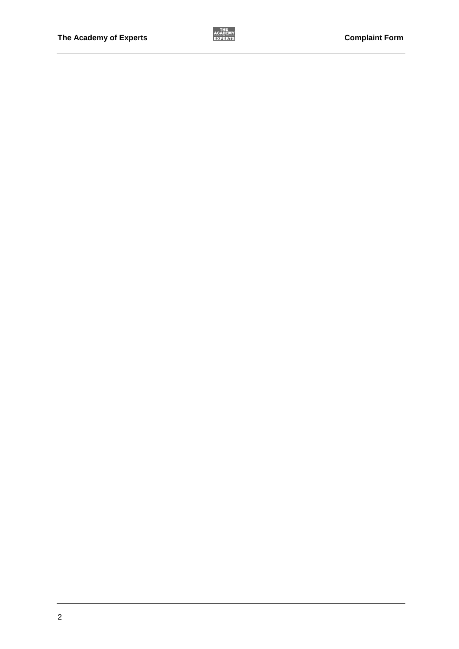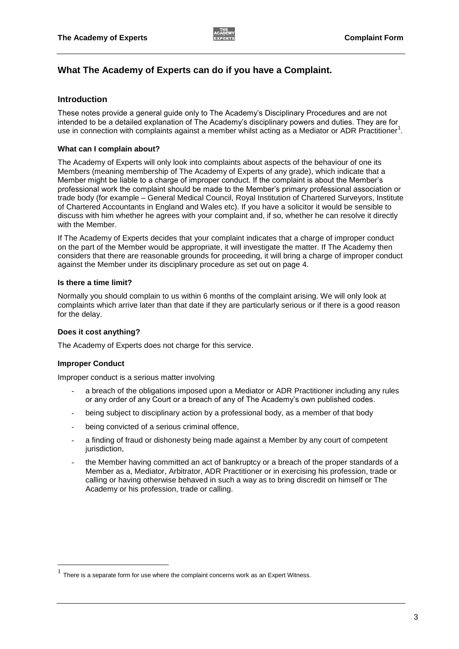# **What The Academy of Experts can do if you have a Complaint.**

# **Introduction**

These notes provide a general guide only to The Academy's Disciplinary Procedures and are not intended to be a detailed explanation of The Academy's disciplinary powers and duties. They are for use in connection with complaints against a member whilst acting as a Mediator or ADR Practitioner<sup>1</sup>.

### **What can I complain about?**

The Academy of Experts will only look into complaints about aspects of the behaviour of one its Members (meaning membership of The Academy of Experts of any grade), which indicate that a Member might be liable to a charge of improper conduct. If the complaint is about the Member's professional work the complaint should be made to the Member's primary professional association or trade body (for example – General Medical Council, Royal Institution of Chartered Surveyors, Institute of Chartered Accountants in England and Wales etc). If you have a solicitor it would be sensible to discuss with him whether he agrees with your complaint and, if so, whether he can resolve it directly with the Member.

If The Academy of Experts decides that your complaint indicates that a charge of improper conduct on the part of the Member would be appropriate, it will investigate the matter. If The Academy then considers that there are reasonable grounds for proceeding, it will bring a charge of improper conduct against the Member under its disciplinary procedure as set out on page 4.

# **Is there a time limit?**

Normally you should complain to us within 6 months of the complaint arising. We will only look at complaints which arrive later than that date if they are particularly serious or if there is a good reason for the delay.

### **Does it cost anything?**

The Academy of Experts does not charge for this service.

# **Improper Conduct**

 $\overline{a}$ 

Improper conduct is a serious matter involving

- a breach of the obligations imposed upon a Mediator or ADR Practitioner including any rules or any order of any Court or a breach of any of The Academy's own published codes.
- being subject to disciplinary action by a professional body, as a member of that body
- being convicted of a serious criminal offence,
- a finding of fraud or dishonesty being made against a Member by any court of competent jurisdiction,
- the Member having committed an act of bankruptcy or a breach of the proper standards of a Member as a, Mediator, Arbitrator, ADR Practitioner or in exercising his profession, trade or calling or having otherwise behaved in such a way as to bring discredit on himself or The Academy or his profession, trade or calling.

 $<sup>1</sup>$  There is a separate form for use where the complaint concerns work as an Expert Witness.</sup>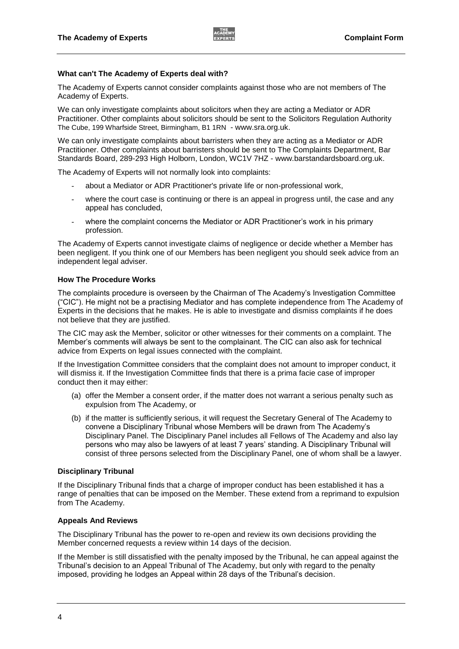#### **What can't The Academy of Experts deal with?**

The Academy of Experts cannot consider complaints against those who are not members of The Academy of Experts.

We can only investigate complaints about solicitors when they are acting a Mediator or ADR Practitioner. Other complaints about solicitors should be sent to the Solicitors Regulation Authority The Cube, 199 Wharfside Street, Birmingham, B1 1RN - www.sra.org.uk.

We can only investigate complaints about barristers when they are acting as a Mediator or ADR Practitioner. Other complaints about barristers should be sent to The Complaints Department, Bar Standards Board, 289-293 High Holborn, London, WC1V 7HZ - www.barstandardsboard.org.uk.

The Academy of Experts will not normally look into complaints:

- about a Mediator or ADR Practitioner's private life or non-professional work,
- where the court case is continuing or there is an appeal in progress until, the case and any appeal has concluded,
- where the complaint concerns the Mediator or ADR Practitioner's work in his primary profession.

The Academy of Experts cannot investigate claims of negligence or decide whether a Member has been negligent. If you think one of our Members has been negligent you should seek advice from an independent legal adviser.

### **How The Procedure Works**

The complaints procedure is overseen by the Chairman of The Academy's Investigation Committee ("CIC"). He might not be a practising Mediator and has complete independence from The Academy of Experts in the decisions that he makes. He is able to investigate and dismiss complaints if he does not believe that they are justified.

The CIC may ask the Member, solicitor or other witnesses for their comments on a complaint. The Member's comments will always be sent to the complainant. The CIC can also ask for technical advice from Experts on legal issues connected with the complaint.

If the Investigation Committee considers that the complaint does not amount to improper conduct, it will dismiss it. If the Investigation Committee finds that there is a prima facie case of improper conduct then it may either:

- (a) offer the Member a consent order, if the matter does not warrant a serious penalty such as expulsion from The Academy, or
- (b) if the matter is sufficiently serious, it will request the Secretary General of The Academy to convene a Disciplinary Tribunal whose Members will be drawn from The Academy's Disciplinary Panel. The Disciplinary Panel includes all Fellows of The Academy and also lay persons who may also be lawyers of at least 7 years' standing. A Disciplinary Tribunal will consist of three persons selected from the Disciplinary Panel, one of whom shall be a lawyer.

#### **Disciplinary Tribunal**

If the Disciplinary Tribunal finds that a charge of improper conduct has been established it has a range of penalties that can be imposed on the Member. These extend from a reprimand to expulsion from The Academy.

### **Appeals And Reviews**

The Disciplinary Tribunal has the power to re-open and review its own decisions providing the Member concerned requests a review within 14 days of the decision.

If the Member is still dissatisfied with the penalty imposed by the Tribunal, he can appeal against the Tribunal's decision to an Appeal Tribunal of The Academy, but only with regard to the penalty imposed, providing he lodges an Appeal within 28 days of the Tribunal's decision.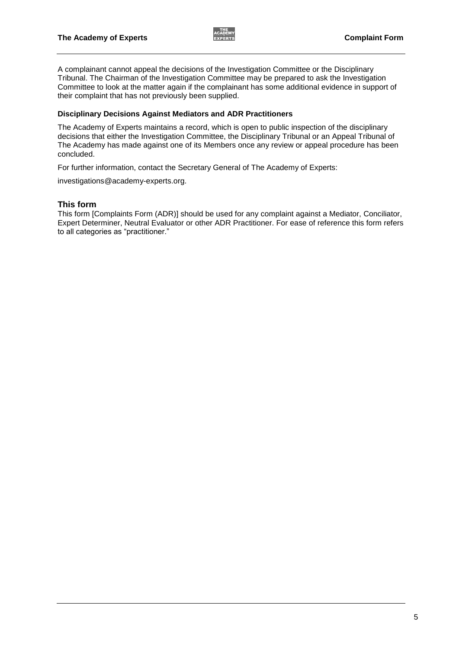A complainant cannot appeal the decisions of the Investigation Committee or the Disciplinary Tribunal. The Chairman of the Investigation Committee may be prepared to ask the Investigation Committee to look at the matter again if the complainant has some additional evidence in support of their complaint that has not previously been supplied.

#### **Disciplinary Decisions Against Mediators and ADR Practitioners**

The Academy of Experts maintains a record, which is open to public inspection of the disciplinary decisions that either the Investigation Committee, the Disciplinary Tribunal or an Appeal Tribunal of The Academy has made against one of its Members once any review or appeal procedure has been concluded.

For further information, contact the Secretary General of The Academy of Experts:

investigations@academy-experts.org.

#### **This form**

This form [Complaints Form (ADR)] should be used for any complaint against a Mediator, Conciliator, Expert Determiner, Neutral Evaluator or other ADR Practitioner. For ease of reference this form refers to all categories as "practitioner."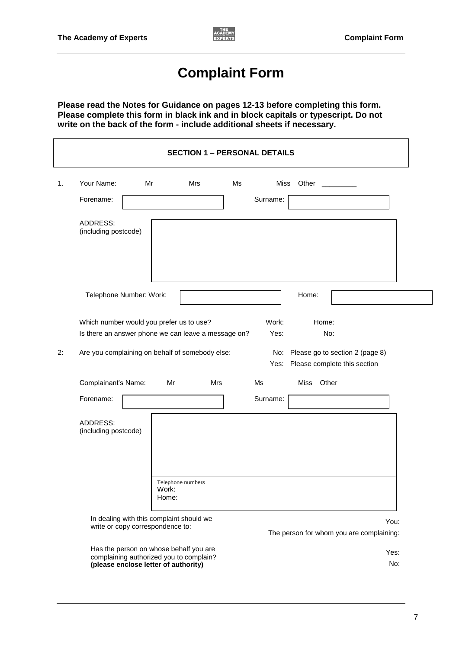# **Complaint Form**

**Please read the Notes for Guidance on pages [12](#page-11-0)[-13](#page-12-0) before completing this form. Please complete this form in black ink and in block capitals or typescript. Do not write on the back of the form - include additional sheets if necessary.**

|                                         |                         |                                                                                                                           |     |    | <b>SECTION 1 - PERSONAL DETAILS</b> |               |                                                                          |             |
|-----------------------------------------|-------------------------|---------------------------------------------------------------------------------------------------------------------------|-----|----|-------------------------------------|---------------|--------------------------------------------------------------------------|-------------|
| Your Name:                              | Mr                      |                                                                                                                           | Mrs | Ms |                                     | Miss Other    |                                                                          |             |
| Forename:                               |                         |                                                                                                                           |     |    | Surname:                            |               |                                                                          |             |
| <b>ADDRESS:</b><br>(including postcode) |                         |                                                                                                                           |     |    |                                     |               |                                                                          |             |
|                                         | Telephone Number: Work: |                                                                                                                           |     |    |                                     | Home:         |                                                                          |             |
|                                         |                         | Which number would you prefer us to use?                                                                                  |     |    | Work:                               | Home:         |                                                                          |             |
|                                         |                         | Is there an answer phone we can leave a message on?                                                                       |     |    | Yes:                                | No:           |                                                                          |             |
|                                         |                         | Are you complaining on behalf of somebody else:                                                                           |     |    |                                     |               | No: Please go to section 2 (page 8)<br>Yes: Please complete this section |             |
| Complainant's Name:                     |                         | Mr                                                                                                                        | Mrs |    | Ms                                  | Other<br>Miss |                                                                          |             |
| Forename:                               |                         |                                                                                                                           |     |    | Surname:                            |               |                                                                          |             |
| ADDRESS:<br>(including postcode)        |                         |                                                                                                                           |     |    |                                     |               |                                                                          |             |
|                                         |                         | Telephone numbers<br>Work:<br>Home:                                                                                       |     |    |                                     |               |                                                                          |             |
|                                         |                         | In dealing with this complaint should we                                                                                  |     |    |                                     |               |                                                                          | You:        |
|                                         |                         | write or copy correspondence to:                                                                                          |     |    |                                     |               | The person for whom you are complaining:                                 |             |
|                                         |                         | Has the person on whose behalf you are<br>complaining authorized you to complain?<br>(please enclose letter of authority) |     |    |                                     |               |                                                                          | Yes:<br>No: |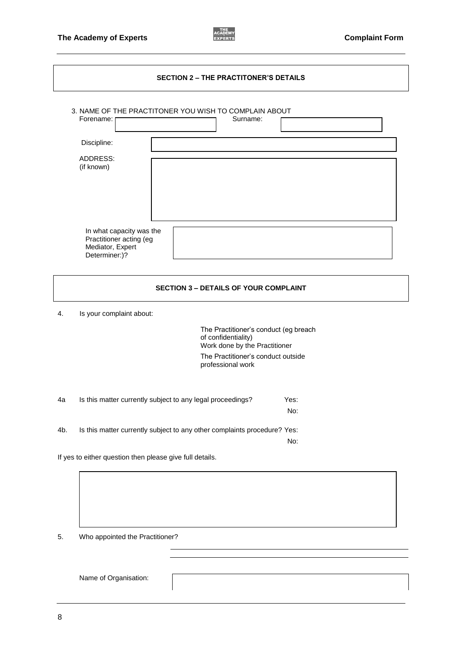

|     | <b>SECTION 2 - THE PRACTITONER'S DETAILS</b>                                                                                        |
|-----|-------------------------------------------------------------------------------------------------------------------------------------|
|     | 3. NAME OF THE PRACTITONER YOU WISH TO COMPLAIN ABOUT<br>Surname:<br>Forename:                                                      |
|     | Discipline:                                                                                                                         |
|     | ADDRESS:<br>(if known)                                                                                                              |
|     | In what capacity was the<br>Practitioner acting (eg<br>Mediator, Expert                                                             |
|     | Determiner:)?                                                                                                                       |
|     | <b>SECTION 3 - DETAILS OF YOUR COMPLAINT</b>                                                                                        |
| 4.  | Is your complaint about:                                                                                                            |
|     | The Practitioner's conduct (eg breach<br>of confidentiality)<br>Work done by the Practitioner<br>The Practitioner's conduct outside |
|     | professional work                                                                                                                   |
| 4a  | Is this matter currently subject to any legal proceedings?<br>Yes:<br>No:                                                           |
| 4b. | Is this matter currently subject to any other complaints procedure? Yes:<br>No:                                                     |
|     | If yes to either question then please give full details.                                                                            |
|     |                                                                                                                                     |
|     |                                                                                                                                     |
| 5.  | Who appointed the Practitioner?                                                                                                     |
|     |                                                                                                                                     |
|     | Name of Organisation:                                                                                                               |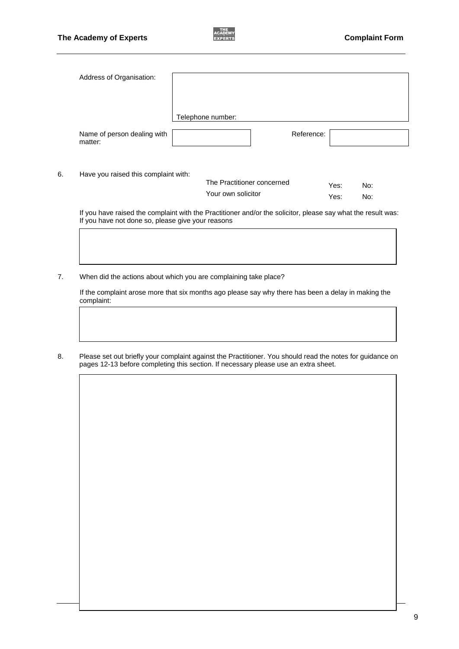

|    | Address of Organisation:               |                                                                                                              |              |            |
|----|----------------------------------------|--------------------------------------------------------------------------------------------------------------|--------------|------------|
|    |                                        | Telephone number:                                                                                            |              |            |
|    | Name of person dealing with<br>matter: | Reference:                                                                                                   |              |            |
| 6. | Have you raised this complaint with:   | The Practitioner concerned<br>Your own solicitor                                                             | Yes:<br>Yes: | No:<br>No: |
|    |                                        | If you have raised the complaint with the Practitioner and/or the solicitor, please say what the result was: |              |            |

If you have not done so, please give your reasons

7. When did the actions about which you are complaining take place?

If the complaint arose more that six months ago please say why there has been a delay in making the complaint:

8. Please set out briefly your complaint against the Practitioner. You should read the notes for guidance on pages [12](#page-11-0)[-13](#page-12-0) before completing this section. If necessary please use an extra sheet.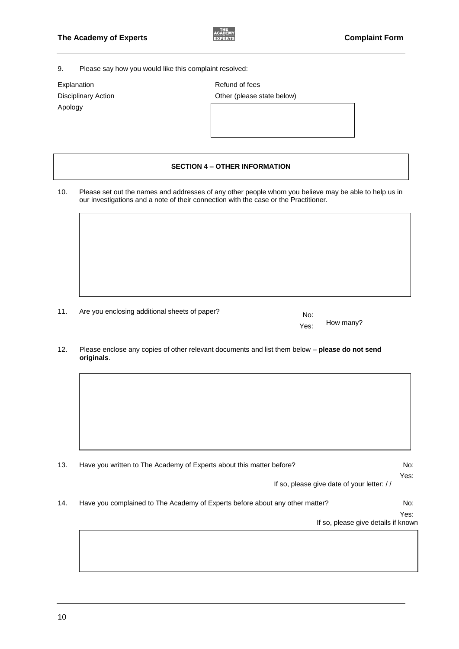

9. Please say how you would like this complaint resolved:

| Explanation                |
|----------------------------|
| <b>Disciplinary Action</b> |
| Apology                    |

Refund of fees

Other (please state below)

### **SECTION 4 – OTHER INFORMATION**

10. Please set out the names and addresses of any other people whom you believe may be able to help us in our investigations and a note of their connection with the case or the Practitioner.

11. Are you enclosing additional sheets of paper? No:

Yes: How many?

12. Please enclose any copies of other relevant documents and list them below – **please do not send originals**.

13. Have you written to The Academy of Experts about this matter before? No:

Yes:

If so, please give date of your letter: / /

14. Have you complained to The Academy of Experts before about any other matter? No:

Yes: If so, please give details if known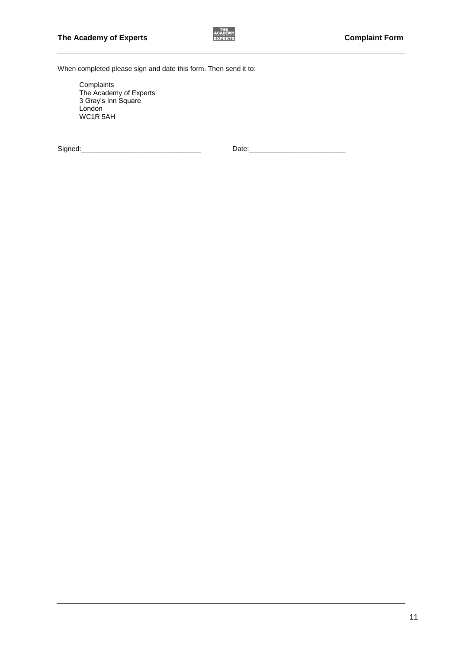

When completed please sign and date this form. Then send it to:

Complaints The Academy of Experts 3 Gray's Inn Square London WC1R 5AH

Signed:\_\_\_\_\_\_\_\_\_\_\_\_\_\_\_\_\_\_\_\_\_\_\_\_\_\_\_\_\_\_\_ Date:\_\_\_\_\_\_\_\_\_\_\_\_\_\_\_\_\_\_\_\_\_\_\_\_\_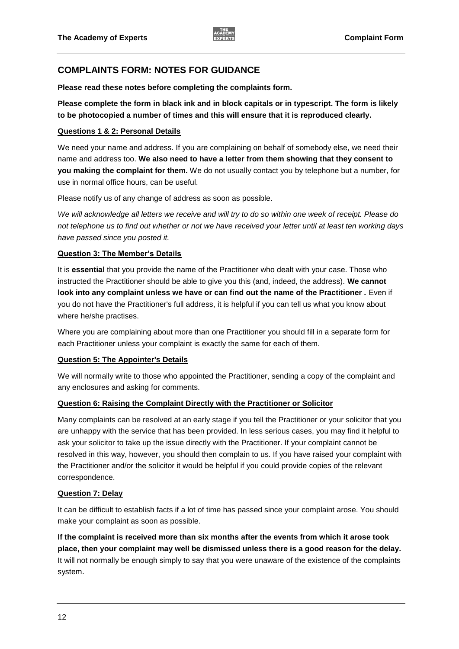# <span id="page-11-0"></span>**COMPLAINTS FORM: NOTES FOR GUIDANCE**

**Please read these notes before completing the complaints form.**

**Please complete the form in black ink and in block capitals or in typescript. The form is likely to be photocopied a number of times and this will ensure that it is reproduced clearly.**

# **Questions 1 & 2: Personal Details**

We need your name and address. If you are complaining on behalf of somebody else, we need their name and address too. **We also need to have a letter from them showing that they consent to you making the complaint for them.** We do not usually contact you by telephone but a number, for use in normal office hours, can be useful.

Please notify us of any change of address as soon as possible.

*We will acknowledge all letters we receive and will try to do so within one week of receipt. Please do not telephone us to find out whether or not we have received your letter until at least ten working days have passed since you posted it.*

# **Question 3: The Member's Details**

It is **essential** that you provide the name of the Practitioner who dealt with your case. Those who instructed the Practitioner should be able to give you this (and, indeed, the address). **We cannot**  look into any complaint unless we have or can find out the name of the Practitioner . Even if you do not have the Practitioner's full address, it is helpful if you can tell us what you know about where he/she practises.

Where you are complaining about more than one Practitioner you should fill in a separate form for each Practitioner unless your complaint is exactly the same for each of them.

### **Question 5: The Appointer's Details**

We will normally write to those who appointed the Practitioner, sending a copy of the complaint and any enclosures and asking for comments.

### **Question 6: Raising the Complaint Directly with the Practitioner or Solicitor**

Many complaints can be resolved at an early stage if you tell the Practitioner or your solicitor that you are unhappy with the service that has been provided. In less serious cases, you may find it helpful to ask your solicitor to take up the issue directly with the Practitioner. If your complaint cannot be resolved in this way, however, you should then complain to us. If you have raised your complaint with the Practitioner and/or the solicitor it would be helpful if you could provide copies of the relevant correspondence.

### **Question 7: Delay**

It can be difficult to establish facts if a lot of time has passed since your complaint arose. You should make your complaint as soon as possible.

**If the complaint is received more than six months after the events from which it arose took place, then your complaint may well be dismissed unless there is a good reason for the delay.**  It will not normally be enough simply to say that you were unaware of the existence of the complaints system.